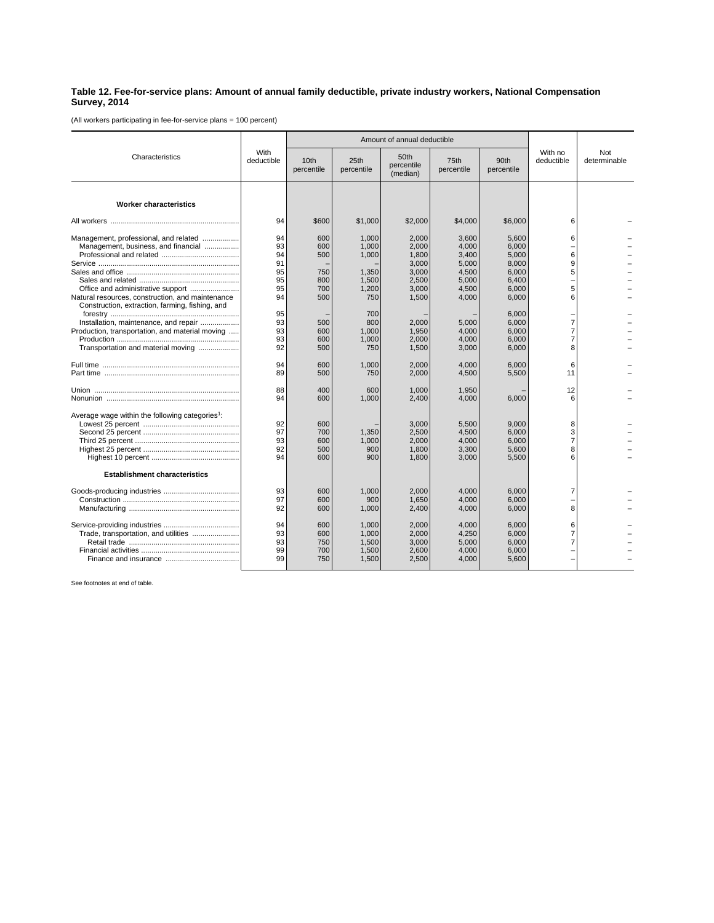## **Table 12. Fee-for-service plans: Amount of annual family deductible, private industry workers, National Compensation Survey, 2014**

(All workers participating in fee-for-service plans = 100 percent)

| Characteristics                                                                                                                | With<br>deductible               |                                 | Amount of annual deductible               |                                                    |                                                    |                                                    |                                    |                     |
|--------------------------------------------------------------------------------------------------------------------------------|----------------------------------|---------------------------------|-------------------------------------------|----------------------------------------------------|----------------------------------------------------|----------------------------------------------------|------------------------------------|---------------------|
|                                                                                                                                |                                  | 10th<br>percentile              | 25th<br>percentile                        | 50th<br>percentile<br>(median)                     | 75th<br>percentile                                 | 90th<br>percentile                                 | With no<br>deductible              | Not<br>determinable |
| <b>Worker characteristics</b>                                                                                                  |                                  |                                 |                                           |                                                    |                                                    |                                                    |                                    |                     |
|                                                                                                                                | 94                               | \$600                           | \$1,000                                   | \$2,000                                            | \$4,000                                            | \$6,000                                            | 6                                  |                     |
| Management, professional, and related<br>Management, business, and financial                                                   | 94<br>93<br>94<br>91<br>95<br>95 | 600<br>600<br>500<br>750<br>800 | 1.000<br>1,000<br>1,000<br>1,350<br>1,500 | 2.000<br>2,000<br>1,800<br>3,000<br>3,000<br>2,500 | 3.600<br>4,000<br>3,400<br>5.000<br>4,500<br>5,000 | 5.600<br>6,000<br>5,000<br>8.000<br>6.000<br>6.400 | 6<br>6<br>9<br>5                   |                     |
| Natural resources, construction, and maintenance<br>Construction, extraction, farming, fishing, and                            | 95<br>94<br>95                   | 700<br>500                      | 1,200<br>750<br>700                       | 3,000<br>1,500                                     | 4,500<br>4,000                                     | 6,000<br>6,000<br>6.000                            | 5<br>6                             |                     |
| Installation, maintenance, and repair<br>Production, transportation, and material moving<br>Transportation and material moving | 93<br>93<br>93<br>92             | 500<br>600<br>600<br>500        | 800<br>1.000<br>1.000<br>750              | 2,000<br>1,950<br>2.000<br>1,500                   | 5,000<br>4.000<br>4.000<br>3,000                   | 6.000<br>6.000<br>6.000<br>6,000                   | 7<br>$\overline{7}$<br>7<br>8      |                     |
|                                                                                                                                | 94<br>89                         | 600<br>500                      | 1,000<br>750                              | 2,000<br>2,000                                     | 4,000<br>4,500                                     | 6,000<br>5,500                                     | 6<br>11                            |                     |
|                                                                                                                                | 88<br>94                         | 400<br>600                      | 600<br>1.000                              | 1.000<br>2.400                                     | 1,950<br>4,000                                     | 6.000                                              | 12<br>6                            |                     |
| Average wage within the following categories <sup>1</sup> :                                                                    | 92<br>97<br>93<br>92<br>94       | 600<br>700<br>600<br>500<br>600 | 1,350<br>1,000<br>900<br>900              | 3,000<br>2,500<br>2,000<br>1,800<br>1,800          | 5,500<br>4.500<br>4,000<br>3,300<br>3,000          | 9.000<br>6.000<br>6,000<br>5,600<br>5,500          | 8<br>3<br>$\overline{7}$<br>8<br>6 |                     |
| <b>Establishment characteristics</b>                                                                                           |                                  |                                 |                                           |                                                    |                                                    |                                                    |                                    |                     |
|                                                                                                                                | 93<br>97<br>92                   | 600<br>600<br>600               | 1.000<br>900<br>1,000                     | 2.000<br>1.650<br>2,400                            | 4.000<br>4.000<br>4,000                            | 6.000<br>6.000<br>6,000                            | $\overline{7}$<br>8                |                     |
| Trade, transportation, and utilities                                                                                           | 94<br>93<br>93<br>99<br>99       | 600<br>600<br>750<br>700<br>750 | 1,000<br>1,000<br>1,500<br>1,500<br>1,500 | 2,000<br>2,000<br>3,000<br>2,600<br>2,500          | 4,000<br>4,250<br>5,000<br>4,000<br>4,000          | 6,000<br>6,000<br>6.000<br>6.000<br>5,600          | 6<br>7<br>7                        |                     |

See footnotes at end of table.